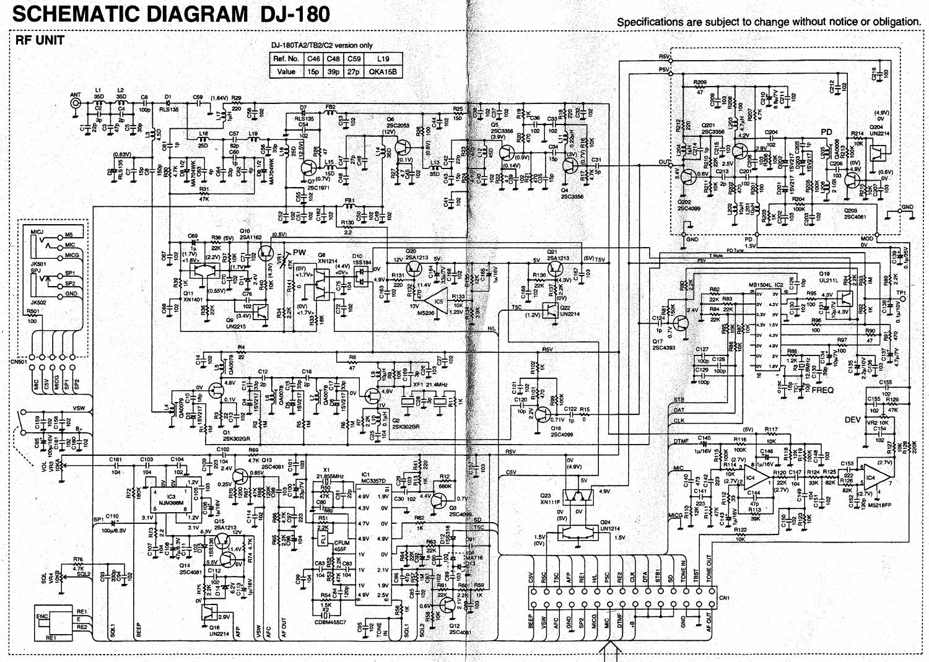## **SCHEMATIC DIAGRAM DJ-180**